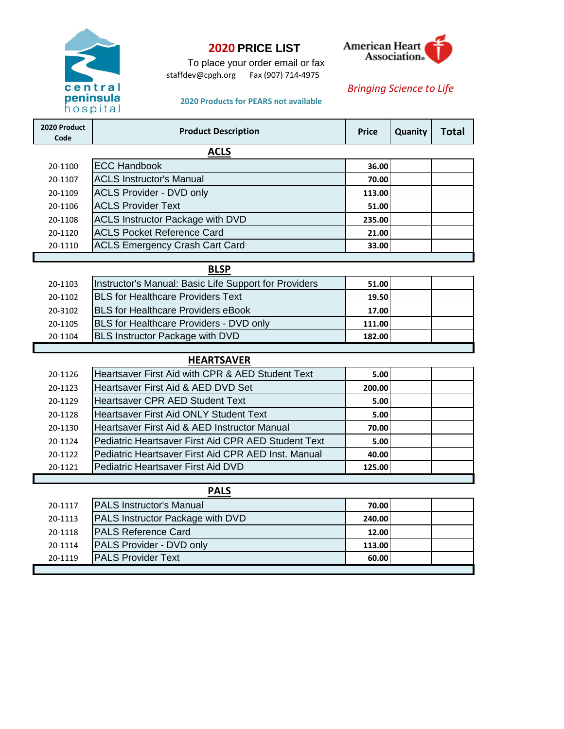

# **2020 PRICE LIST**

To place your order email or fax staffdev@cpgh.org Fax (907) 714-4975



### *Bringing Science to Life*

#### **2020 Products for PEARS not available**

| 2020 Product<br>Code | <b>Product Description</b>                            | <b>Price</b> | Quanity | <b>Total</b> |
|----------------------|-------------------------------------------------------|--------------|---------|--------------|
|                      | <b>ACLS</b>                                           |              |         |              |
| 20-1100              | <b>ECC Handbook</b>                                   | 36.00        |         |              |
| 20-1107              | <b>ACLS Instructor's Manual</b>                       | 70.00        |         |              |
| 20-1109              | <b>ACLS Provider - DVD only</b>                       | 113.00       |         |              |
| 20-1106              | <b>ACLS Provider Text</b>                             | 51.00        |         |              |
| 20-1108              | <b>ACLS Instructor Package with DVD</b>               | 235.00       |         |              |
| 20-1120              | <b>ACLS Pocket Reference Card</b>                     | 21.00        |         |              |
| 20-1110              | <b>ACLS Emergency Crash Cart Card</b>                 | 33.00        |         |              |
|                      |                                                       |              |         |              |
|                      | <b>BLSP</b>                                           |              |         |              |
| 20-1103              | Instructor's Manual: Basic Life Support for Providers | 51.00        |         |              |
| 20-1102              | <b>BLS for Healthcare Providers Text</b>              | 19.50        |         |              |
| 20-3102              | <b>BLS for Healthcare Providers eBook</b>             | 17.00        |         |              |
| 20-1105              | BLS for Healthcare Providers - DVD only               | 111.00       |         |              |
| 20-1104              | <b>BLS Instructor Package with DVD</b>                | 182.00       |         |              |
|                      |                                                       |              |         |              |
|                      | <b>HEARTSAVER</b>                                     |              |         |              |
| 20-1126              | Heartsaver First Aid with CPR & AED Student Text      | 5.00         |         |              |
| 20-1123              | Heartsaver First Aid & AED DVD Set                    | 200.00       |         |              |
| 20-1129              | <b>Heartsaver CPR AED Student Text</b>                | 5.00         |         |              |
| 20-1128              | <b>Heartsaver First Aid ONLY Student Text</b>         | 5.00         |         |              |
| 20-1130              | Heartsaver First Aid & AED Instructor Manual          | 70.00        |         |              |
| 20-1124              | Pediatric Heartsaver First Aid CPR AED Student Text   | 5.00         |         |              |
|                      |                                                       |              |         |              |

### **PALS**

20-1122 **40.00** Pediatric Heartsaver First Aid CPR AED Inst. Manual 20-1121 **125.00** Pediatric Heartsaver First Aid DVD

| 20-1117 | <b>PALS Instructor's Manual</b>  | 70.00  |  |
|---------|----------------------------------|--------|--|
| 20-1113 | PALS Instructor Package with DVD | 240.00 |  |
| 20-1118 | <b>PALS Reference Card</b>       | 12.00  |  |
| 20-1114 | PALS Provider - DVD only         | 113.00 |  |
| 20-1119 | <b>IPALS Provider Text</b>       | 60.00  |  |
|         |                                  |        |  |